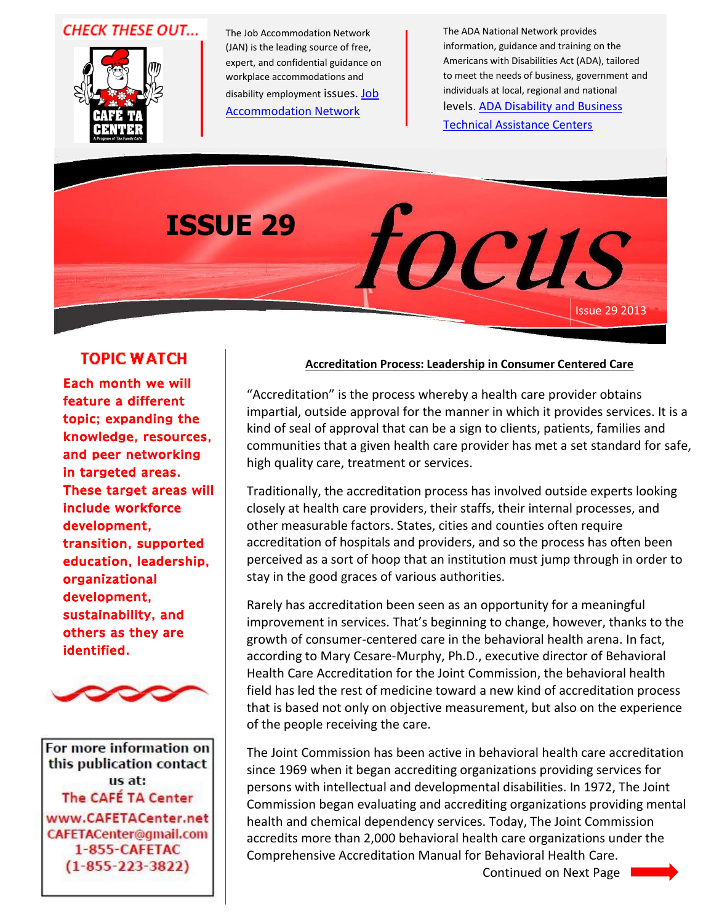## **CHECK THESE OUT...**



The Job Accommodation Network (JAN) is the leading source of free, expert, and confidential guidance on workplace accommodations and disability employment issues. [Job](http://www.jan.wvu.edu/)  [Accommodation Network](http://www.jan.wvu.edu/)

The ADA National Network provides information, guidance and training on the Americans with Disabilities Act (ADA), tailored to meet the needs of business, government and individuals at local, regional and national levels[. ADA Disability and Business](http://www.adata.org/)  [Technical Assistance Centers](http://www.adata.org/)

# **ISSUE 29**tocus Issue 29 2013

## **TOPIC WATCH**

Each month we will feature a different topic; expanding the knowledge, resources, and peer networking in targeted areas. These target areas will include workforce development, transition, supported education, leadership, organizational development, sustainability, and others as they are identified.



For more information on this publication contact us at: The CAFÉ TA Center www.CAFETACenter.net CAFETACenter@gmail.com 1-855-CAFETAC  $(1 - 855 - 223 - 3822)$ 

#### **Accreditation Process: Leadership in Consumer Centered Care**

"Accreditation" is the process whereby a health care provider obtains impartial, outside approval for the manner in which it provides services. It is a kind of seal of approval that can be a sign to clients, patients, families and communities that a given health care provider has met a set standard for safe, high quality care, treatment or services.

Traditionally, the accreditation process has involved outside experts looking closely at health care providers, their staffs, their internal processes, and other measurable factors. States, cities and counties often require accreditation of hospitals and providers, and so the process has often been perceived as a sort of hoop that an institution must jump through in order to stay in the good graces of various authorities.

Rarely has accreditation been seen as an opportunity for a meaningful improvement in services. That's beginning to change, however, thanks to the growth of consumer-centered care in the behavioral health arena. In fact, according to Mary Cesare-Murphy, Ph.D., executive director of Behavioral Health Care Accreditation for the Joint Commission, the behavioral health field has led the rest of medicine toward a new kind of accreditation process that is based not only on objective measurement, but also on the experience of the people receiving the care.

The Joint Commission has been active in behavioral health care accreditation since 1969 when it began accrediting organizations providing services for persons with intellectual and developmental disabilities. In 1972, The Joint Commission began evaluating and accrediting organizations providing mental health and chemical dependency services. Today, The Joint Commission accredits more than 2,000 behavioral health care organizations under the Comprehensive Accreditation Manual for Behavioral Health Care.

Continued on Next Page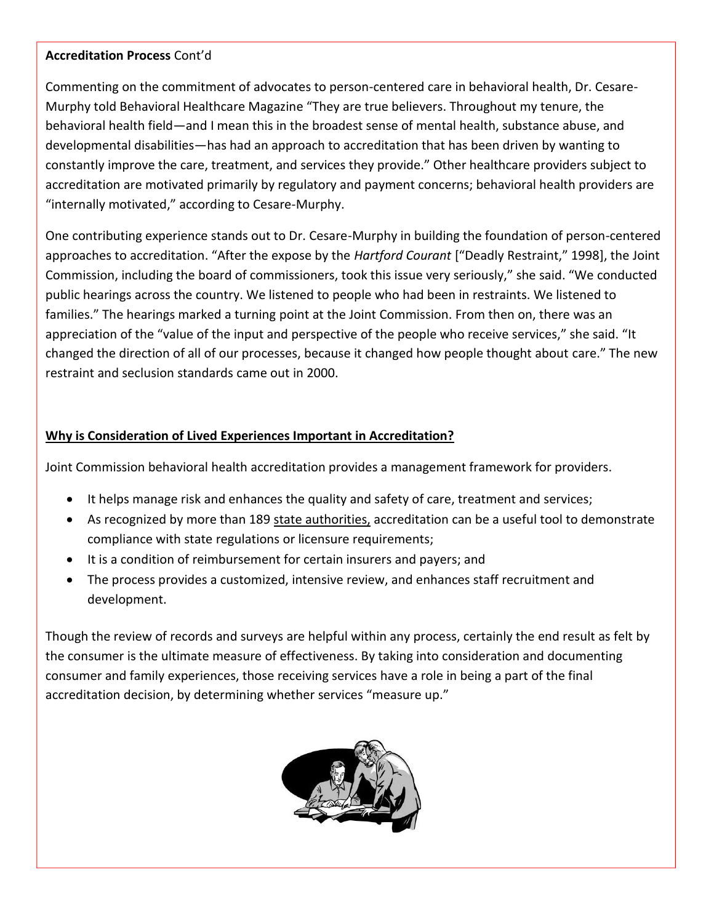### **Accreditation Process** Cont'd

Commenting on the commitment of advocates to person-centered care in behavioral health, Dr. Cesare-Murphy told Behavioral Healthcare Magazine "They are true believers. Throughout my tenure, the behavioral health field—and I mean this in the broadest sense of mental health, substance abuse, and developmental disabilities—has had an approach to accreditation that has been driven by wanting to constantly improve the care, treatment, and services they provide." Other healthcare providers subject to accreditation are motivated primarily by regulatory and payment concerns; behavioral health providers are "internally motivated," according to Cesare-Murphy.

One contributing experience stands out to Dr. Cesare-Murphy in building the foundation of person-centered approaches to accreditation. "After the expose by the *Hartford Courant* ["Deadly Restraint," 1998], the Joint Commission, including the board of commissioners, took this issue very seriously," she said. "We conducted public hearings across the country. We listened to people who had been in restraints. We listened to families." The hearings marked a turning point at the Joint Commission. From then on, there was an appreciation of the "value of the input and perspective of the people who receive services," she said. "It changed the direction of all of our processes, because it changed how people thought about care." The new restraint and seclusion standards came out in 2000.

## **Why is Consideration of Lived Experiences Important in Accreditation?**

Joint Commission behavioral health accreditation provides a management framework for providers.

- It helps manage risk and enhances the quality and safety of care, treatment and services;
- As recognized by more than 189 state authorities, accreditation can be a useful tool to demonstrate compliance with state regulations or licensure requirements;
- It is a condition of reimbursement for certain insurers and payers; and
- The process provides a customized, intensive review, and enhances staff recruitment and development.

Though the review of records and surveys are helpful within any process, certainly the end result as felt by the consumer is the ultimate measure of effectiveness. By taking into consideration and documenting consumer and family experiences, those receiving services have a role in being a part of the final accreditation decision, by determining whether services "measure up."